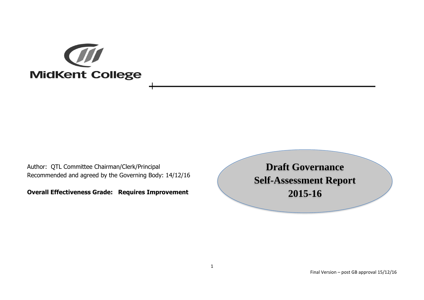

Author: QTL Committee Chairman/Clerk/Principal Recommended and agreed by the Governing Body: 14/12/16

**Overall Effectiveness Grade: Requires Improvement**

**Draft Governance Self-Assessment Report 2015-16**

Final Version – post GB approval 15/12/16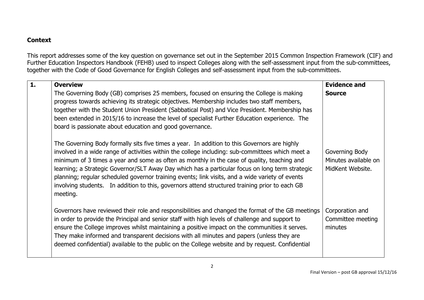## **Context**

This report addresses some of the key question on governance set out in the September 2015 Common Inspection Framework (CIF) and Further Education Inspectors Handbook (FEHB) used to inspect Colleges along with the self-assessment input from the sub-committees, together with the Code of Good Governance for English Colleges and self-assessment input from the sub-committees.

| $\overline{1}$ . | <b>Overview</b>                                                                                                                                                                                                                                                                                                                                                                                                                                                                                                                                                                                                     | <b>Evidence and</b>                                        |
|------------------|---------------------------------------------------------------------------------------------------------------------------------------------------------------------------------------------------------------------------------------------------------------------------------------------------------------------------------------------------------------------------------------------------------------------------------------------------------------------------------------------------------------------------------------------------------------------------------------------------------------------|------------------------------------------------------------|
|                  | The Governing Body (GB) comprises 25 members, focused on ensuring the College is making<br>progress towards achieving its strategic objectives. Membership includes two staff members,<br>together with the Student Union President (Sabbatical Post) and Vice President. Membership has<br>been extended in 2015/16 to increase the level of specialist Further Education experience. The<br>board is passionate about education and good governance.                                                                                                                                                              | <b>Source</b>                                              |
|                  | The Governing Body formally sits five times a year. In addition to this Governors are highly<br>involved in a wide range of activities within the college including: sub-committees which meet a<br>minimum of 3 times a year and some as often as monthly in the case of quality, teaching and<br>learning; a Strategic Governor/SLT Away Day which has a particular focus on long term strategic<br>planning; regular scheduled governor training events; link visits, and a wide variety of events<br>involving students. In addition to this, governors attend structured training prior to each GB<br>meeting. | Governing Body<br>Minutes available on<br>MidKent Website. |
|                  | Governors have reviewed their role and responsibilities and changed the format of the GB meetings<br>in order to provide the Principal and senior staff with high levels of challenge and support to<br>ensure the College improves whilst maintaining a positive impact on the communities it serves.<br>They make informed and transparent decisions with all minutes and papers (unless they are<br>deemed confidential) available to the public on the College website and by request. Confidential                                                                                                             | Corporation and<br>Committee meeting<br>minutes            |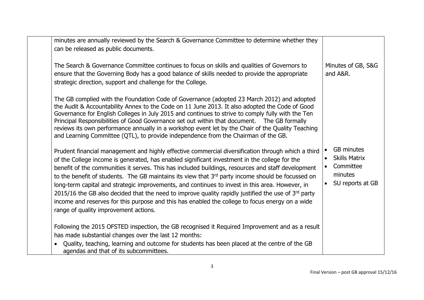| minutes are annually reviewed by the Search & Governance Committee to determine whether they<br>can be released as public documents.                                                                                                                                                                                                                                                                                                                                                                                                                                                                                                                                                                                                                                   |                                                                                                                 |
|------------------------------------------------------------------------------------------------------------------------------------------------------------------------------------------------------------------------------------------------------------------------------------------------------------------------------------------------------------------------------------------------------------------------------------------------------------------------------------------------------------------------------------------------------------------------------------------------------------------------------------------------------------------------------------------------------------------------------------------------------------------------|-----------------------------------------------------------------------------------------------------------------|
| The Search & Governance Committee continues to focus on skills and qualities of Governors to<br>ensure that the Governing Body has a good balance of skills needed to provide the appropriate<br>strategic direction, support and challenge for the College.                                                                                                                                                                                                                                                                                                                                                                                                                                                                                                           | Minutes of GB, S&G<br>and A&R.                                                                                  |
| The GB complied with the Foundation Code of Governance (adopted 23 March 2012) and adopted<br>the Audit & Accountability Annex to the Code on 11 June 2013. It also adopted the Code of Good<br>Governance for English Colleges in July 2015 and continues to strive to comply fully with the Ten<br>Principal Responsibilities of Good Governance set out within that document.  The GB formally<br>reviews its own performance annually in a workshop event let by the Chair of the Quality Teaching<br>and Learning Committee (QTL), to provide independence from the Chairman of the GB.                                                                                                                                                                           |                                                                                                                 |
| Prudent financial management and highly effective commercial diversification through which a third<br>of the College income is generated, has enabled significant investment in the college for the<br>benefit of the communities it serves. This has included buildings, resources and staff development<br>to the benefit of students. The GB maintains its view that 3rd party income should be focussed on<br>long-term capital and strategic improvements, and continues to invest in this area. However, in<br>2015/16 the GB also decided that the need to improve quality rapidly justified the use of $3rd$ party<br>income and reserves for this purpose and this has enabled the college to focus energy on a wide<br>range of quality improvement actions. | <b>GB</b> minutes<br><b>Skills Matrix</b><br>$\bullet$<br>Committee<br>$\bullet$<br>minutes<br>SU reports at GB |
| Following the 2015 OFSTED inspection, the GB recognised it Required Improvement and as a result<br>has made substantial changes over the last 12 months:                                                                                                                                                                                                                                                                                                                                                                                                                                                                                                                                                                                                               |                                                                                                                 |
| Quality, teaching, learning and outcome for students has been placed at the centre of the GB<br>agendas and that of its subcommittees.                                                                                                                                                                                                                                                                                                                                                                                                                                                                                                                                                                                                                                 |                                                                                                                 |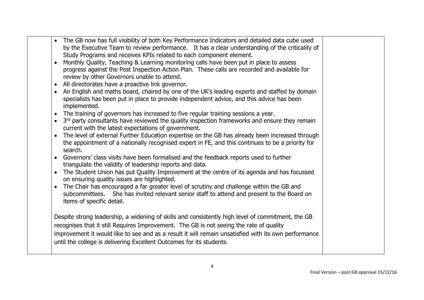|           | The GB now has full visibility of both Key Performance Indicators and detailed data cube used            |  |
|-----------|----------------------------------------------------------------------------------------------------------|--|
|           | by the Executive Team to review performance. It has a clear understanding of the criticality of          |  |
|           | Study Programs and receives KPIs related to each component element.                                      |  |
|           | Monthly Quality, Teaching & Learning monitoring calls have been put in place to assess                   |  |
|           | progress against the Post Inspection Action Plan. These calls are recorded and available for             |  |
|           | review by other Governors unable to attend.                                                              |  |
|           | All directorates have a proactive link governor.                                                         |  |
| $\bullet$ | An English and maths board, chaired by one of the UK's leading experts and staffed by domain             |  |
|           | specialists has been put in place to provide independent advice, and this advice has been                |  |
|           | implemented.                                                                                             |  |
|           | The training of governors has increased to five regular training sessions a year.                        |  |
| $\bullet$ | 3 <sup>rd</sup> party consultants have reviewed the quality inspection frameworks and ensure they remain |  |
|           | current with the latest expectations of government.                                                      |  |
|           | The level of external Further Education expertise on the GB has already been increased through           |  |
|           | the appointment of a nationally recognised expert in FE, and this continues to be a priority for         |  |
|           | search.                                                                                                  |  |
|           | Governors' class visits have been formalised and the feedback reports used to further                    |  |
|           | triangulate the validity of leadership reports and data.                                                 |  |
|           | The Student Union has put Quality Improvement at the centre of its agenda and has focussed               |  |
|           | on ensuring quality issues are highlighted.                                                              |  |
|           | The Chair has encouraged a far greater level of scrutiny and challenge within the GB and                 |  |
|           | subcommittees. She has invited relevant senior staff to attend and present to the Board on               |  |
|           | items of specific detail.                                                                                |  |
|           |                                                                                                          |  |
|           | Despite strong leadership, a widening of skills and consistently high level of commitment, the GB        |  |
|           | recognises that it still Requires Improvement. The GB is not seeing the rate of quality                  |  |
|           | improvement it would like to see and as a result it will remain unsatisfied with its own performance     |  |
|           | until the college is delivering Excellent Outcomes for its students.                                     |  |
|           |                                                                                                          |  |
|           |                                                                                                          |  |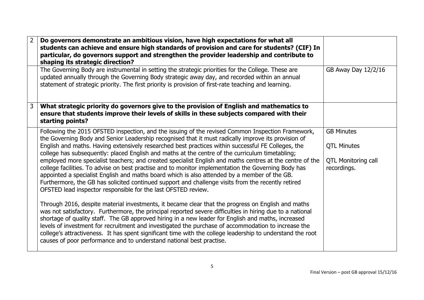| 2 | Do governors demonstrate an ambitious vision, have high expectations for what all<br>students can achieve and ensure high standards of provision and care for students? (CIF) In<br>particular, do governors support and strengthen the provider leadership and contribute to<br>shaping its strategic direction?                                                                                                                                                                                                                                                                                                                                                                                                                                                                                                                                                                                           |                                                                                      |
|---|-------------------------------------------------------------------------------------------------------------------------------------------------------------------------------------------------------------------------------------------------------------------------------------------------------------------------------------------------------------------------------------------------------------------------------------------------------------------------------------------------------------------------------------------------------------------------------------------------------------------------------------------------------------------------------------------------------------------------------------------------------------------------------------------------------------------------------------------------------------------------------------------------------------|--------------------------------------------------------------------------------------|
|   | The Governing Body are instrumental in setting the strategic priorities for the College. These are<br>updated annually through the Governing Body strategic away day, and recorded within an annual<br>statement of strategic priority. The first priority is provision of first-rate teaching and learning.                                                                                                                                                                                                                                                                                                                                                                                                                                                                                                                                                                                                | GB Away Day 12/2/16                                                                  |
| 3 | What strategic priority do governors give to the provision of English and mathematics to<br>ensure that students improve their levels of skills in these subjects compared with their<br>starting points?                                                                                                                                                                                                                                                                                                                                                                                                                                                                                                                                                                                                                                                                                                   |                                                                                      |
|   | Following the 2015 OFSTED inspection, and the issuing of the revised Common Inspection Framework,<br>the Governing Body and Senior Leadership recognised that it must radically improve its provision of<br>English and maths. Having extensively researched best practices within successful FE Colleges, the<br>college has subsequently: placed English and maths at the centre of the curriculum timetabling;<br>employed more specialist teachers; and created specialist English and maths centres at the centre of the<br>college facilities. To advise on best practise and to monitor implementation the Governing Body has<br>appointed a specialist English and maths board which is also attended by a member of the GB.<br>Furthermore, the GB has solicited continued support and challenge visits from the recently retired<br>OFSTED lead inspector responsible for the last OFSTED review. | <b>GB Minutes</b><br><b>QTL Minutes</b><br><b>QTL Monitoring call</b><br>recordings. |
|   | Through 2016, despite material investments, it became clear that the progress on English and maths<br>was not satisfactory. Furthermore, the principal reported severe difficulties in hiring due to a national<br>shortage of quality staff. The GB approved hiring in a new leader for English and maths, increased<br>levels of investment for recruitment and investigated the purchase of accommodation to increase the<br>college's attractiveness. It has spent significant time with the college leadership to understand the root<br>causes of poor performance and to understand national best practise.                                                                                                                                                                                                                                                                                          |                                                                                      |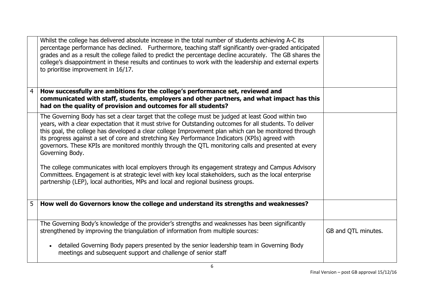|                | Whilst the college has delivered absolute increase in the total number of students achieving A-C its<br>percentage performance has declined. Furthermore, teaching staff significantly over-graded anticipated<br>grades and as a result the college failed to predict the percentage decline accurately. The GB shares the<br>college's disappointment in these results and continues to work with the leadership and external experts<br>to prioritise improvement in 16/17.                                                                       |                     |
|----------------|------------------------------------------------------------------------------------------------------------------------------------------------------------------------------------------------------------------------------------------------------------------------------------------------------------------------------------------------------------------------------------------------------------------------------------------------------------------------------------------------------------------------------------------------------|---------------------|
| $\overline{4}$ | How successfully are ambitions for the college's performance set, reviewed and<br>communicated with staff, students, employers and other partners, and what impact has this<br>had on the quality of provision and outcomes for all students?                                                                                                                                                                                                                                                                                                        |                     |
|                | The Governing Body has set a clear target that the college must be judged at least Good within two<br>years, with a clear expectation that it must strive for Outstanding outcomes for all students. To deliver<br>this goal, the college has developed a clear college Improvement plan which can be monitored through<br>its progress against a set of core and stretching Key Performance Indicators (KPIs) agreed with<br>governors. These KPIs are monitored monthly through the QTL monitoring calls and presented at every<br>Governing Body. |                     |
|                | The college communicates with local employers through its engagement strategy and Campus Advisory<br>Committees. Engagement is at strategic level with key local stakeholders, such as the local enterprise<br>partnership (LEP), local authorities, MPs and local and regional business groups.                                                                                                                                                                                                                                                     |                     |
| 5              | How well do Governors know the college and understand its strengths and weaknesses?                                                                                                                                                                                                                                                                                                                                                                                                                                                                  |                     |
|                | The Governing Body's knowledge of the provider's strengths and weaknesses has been significantly<br>strengthened by improving the triangulation of information from multiple sources:                                                                                                                                                                                                                                                                                                                                                                | GB and QTL minutes. |
|                | detailed Governing Body papers presented by the senior leadership team in Governing Body<br>$\bullet$<br>meetings and subsequent support and challenge of senior staff                                                                                                                                                                                                                                                                                                                                                                               |                     |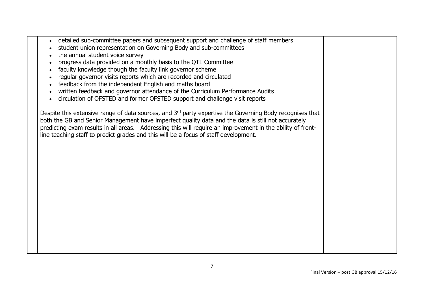- detailed sub-committee papers and subsequent support and challenge of staff members
- student union representation on Governing Body and sub-committees
- the annual student voice survey
- progress data provided on a monthly basis to the QTL Committee
- faculty knowledge though the faculty link governor scheme
- regular governor visits reports which are recorded and circulated
- feedback from the independent English and maths board
- written feedback and governor attendance of the Curriculum Performance Audits
- circulation of OFSTED and former OFSTED support and challenge visit reports

Despite this extensive range of data sources, and 3<sup>rd</sup> party expertise the Governing Body recognises that both the GB and Senior Management have imperfect quality data and the data is still not accurately predicting exam results in all areas. Addressing this will require an improvement in the ability of frontline teaching staff to predict grades and this will be a focus of staff development.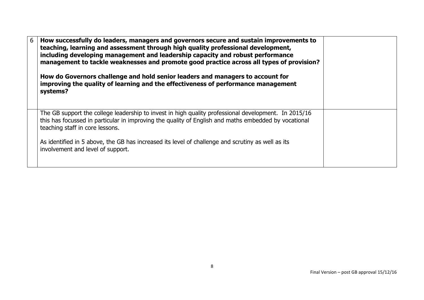| 6 | How successfully do leaders, managers and governors secure and sustain improvements to<br>teaching, learning and assessment through high quality professional development,<br>including developing management and leadership capacity and robust performance<br>management to tackle weaknesses and promote good practice across all types of provision? |  |
|---|----------------------------------------------------------------------------------------------------------------------------------------------------------------------------------------------------------------------------------------------------------------------------------------------------------------------------------------------------------|--|
|   | How do Governors challenge and hold senior leaders and managers to account for<br>improving the quality of learning and the effectiveness of performance management<br>systems?                                                                                                                                                                          |  |
|   | The GB support the college leadership to invest in high quality professional development. In 2015/16<br>this has focussed in particular in improving the quality of English and maths embedded by vocational<br>teaching staff in core lessons.                                                                                                          |  |
|   | As identified in 5 above, the GB has increased its level of challenge and scrutiny as well as its<br>involvement and level of support.                                                                                                                                                                                                                   |  |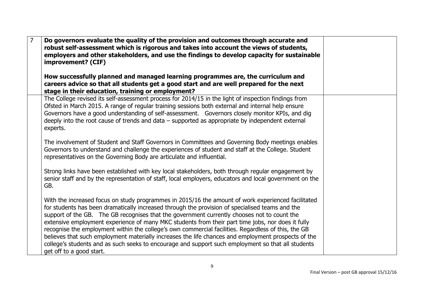| $\overline{7}$ | Do governors evaluate the quality of the provision and outcomes through accurate and<br>robust self-assessment which is rigorous and takes into account the views of students,<br>employers and other stakeholders, and use the findings to develop capacity for sustainable<br>improvement? (CIF)<br>How successfully planned and managed learning programmes are, the curriculum and                                                                                                                                                                                                                                                                                                                                                                    |  |
|----------------|-----------------------------------------------------------------------------------------------------------------------------------------------------------------------------------------------------------------------------------------------------------------------------------------------------------------------------------------------------------------------------------------------------------------------------------------------------------------------------------------------------------------------------------------------------------------------------------------------------------------------------------------------------------------------------------------------------------------------------------------------------------|--|
|                | careers advice so that all students get a good start and are well prepared for the next<br>stage in their education, training or employment?                                                                                                                                                                                                                                                                                                                                                                                                                                                                                                                                                                                                              |  |
|                | The College revised its self-assessment process for 2014/15 in the light of inspection findings from<br>Ofsted in March 2015. A range of regular training sessions both external and internal help ensure<br>Governors have a good understanding of self-assessment. Governors closely monitor KPIs, and dig<br>deeply into the root cause of trends and data $-$ supported as appropriate by independent external<br>experts.                                                                                                                                                                                                                                                                                                                            |  |
|                | The involvement of Student and Staff Governors in Committees and Governing Body meetings enables<br>Governors to understand and challenge the experiences of student and staff at the College. Student<br>representatives on the Governing Body are articulate and influential.                                                                                                                                                                                                                                                                                                                                                                                                                                                                           |  |
|                | Strong links have been established with key local stakeholders, both through regular engagement by<br>senior staff and by the representation of staff, local employers, educators and local government on the<br>GB.                                                                                                                                                                                                                                                                                                                                                                                                                                                                                                                                      |  |
|                | With the increased focus on study programmes in 2015/16 the amount of work experienced facilitated<br>for students has been dramatically increased through the provision of specialised teams and the<br>support of the GB. The GB recognises that the government currently chooses not to count the<br>extensive employment experience of many MKC students from their part time jobs, nor does it fully<br>recognise the employment within the college's own commercial facilities. Regardless of this, the GB<br>believes that such employment materially increases the life chances and employment prospects of the<br>college's students and as such seeks to encourage and support such employment so that all students<br>get off to a good start. |  |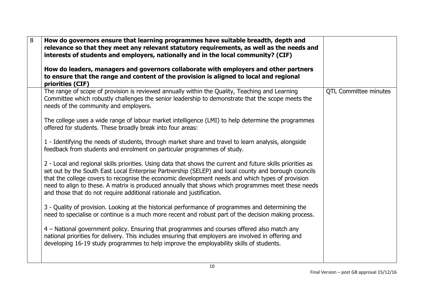| 8 | How do governors ensure that learning programmes have suitable breadth, depth and<br>relevance so that they meet any relevant statutory requirements, as well as the needs and<br>interests of students and employers, nationally and in the local community? (CIF)<br>How do leaders, managers and governors collaborate with employers and other partners<br>to ensure that the range and content of the provision is aligned to local and regional<br>priorities (CIF)                              |                              |
|---|--------------------------------------------------------------------------------------------------------------------------------------------------------------------------------------------------------------------------------------------------------------------------------------------------------------------------------------------------------------------------------------------------------------------------------------------------------------------------------------------------------|------------------------------|
|   | The range of scope of provision is reviewed annually within the Quality, Teaching and Learning<br>Committee which robustly challenges the senior leadership to demonstrate that the scope meets the<br>needs of the community and employers.                                                                                                                                                                                                                                                           | <b>QTL Committee minutes</b> |
|   | The college uses a wide range of labour market intelligence (LMI) to help determine the programmes<br>offered for students. These broadly break into four areas:                                                                                                                                                                                                                                                                                                                                       |                              |
|   | 1 - Identifying the needs of students, through market share and travel to learn analysis, alongside<br>feedback from students and enrolment on particular programmes of study.                                                                                                                                                                                                                                                                                                                         |                              |
|   | 2 - Local and regional skills priorities. Using data that shows the current and future skills priorities as<br>set out by the South East Local Enterprise Partnership (SELEP) and local county and borough councils<br>that the college covers to recognise the economic development needs and which types of provision<br>need to align to these. A matrix is produced annually that shows which programmes meet these needs<br>and those that do not require additional rationale and justification. |                              |
|   | 3 - Quality of provision. Looking at the historical performance of programmes and determining the<br>need to specialise or continue is a much more recent and robust part of the decision making process.                                                                                                                                                                                                                                                                                              |                              |
|   | 4 – National government policy. Ensuring that programmes and courses offered also match any<br>national priorities for delivery. This includes ensuring that employers are involved in offering and<br>developing 16-19 study programmes to help improve the employability skills of students.                                                                                                                                                                                                         |                              |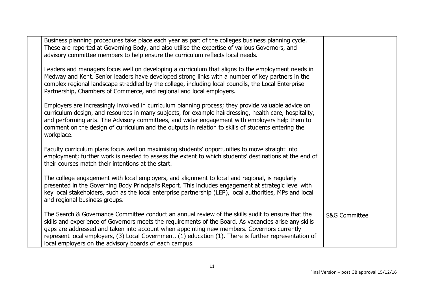| Business planning procedures take place each year as part of the colleges business planning cycle.<br>These are reported at Governing Body, and also utilise the expertise of various Governors, and<br>advisory committee members to help ensure the curriculum reflects local needs.                                                                                                                                                                                       |                          |
|------------------------------------------------------------------------------------------------------------------------------------------------------------------------------------------------------------------------------------------------------------------------------------------------------------------------------------------------------------------------------------------------------------------------------------------------------------------------------|--------------------------|
| Leaders and managers focus well on developing a curriculum that aligns to the employment needs in<br>Medway and Kent. Senior leaders have developed strong links with a number of key partners in the<br>complex regional landscape straddled by the college, including local councils, the Local Enterprise<br>Partnership, Chambers of Commerce, and regional and local employers.                                                                                         |                          |
| Employers are increasingly involved in curriculum planning process; they provide valuable advice on<br>curriculum design, and resources in many subjects, for example hairdressing, health care, hospitality,<br>and performing arts. The Advisory committees, and wider engagement with employers help them to<br>comment on the design of curriculum and the outputs in relation to skills of students entering the<br>workplace.                                          |                          |
| Faculty curriculum plans focus well on maximising students' opportunities to move straight into<br>employment; further work is needed to assess the extent to which students' destinations at the end of<br>their courses match their intentions at the start.                                                                                                                                                                                                               |                          |
| The college engagement with local employers, and alignment to local and regional, is regularly<br>presented in the Governing Body Principal's Report. This includes engagement at strategic level with<br>key local stakeholders, such as the local enterprise partnership (LEP), local authorities, MPs and local<br>and regional business groups.                                                                                                                          |                          |
| The Search & Governance Committee conduct an annual review of the skills audit to ensure that the<br>skills and experience of Governors meets the requirements of the Board. As vacancies arise any skills<br>gaps are addressed and taken into account when appointing new members. Governors currently<br>represent local employers, (3) Local Government, (1) education (1). There is further representation of<br>local employers on the advisory boards of each campus. | <b>S&amp;G Committee</b> |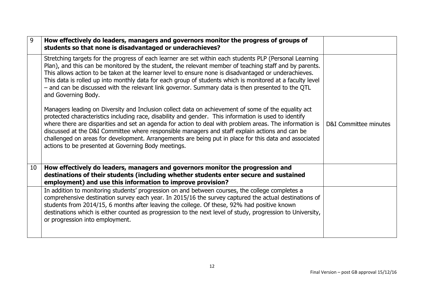| 9  | How effectively do leaders, managers and governors monitor the progress of groups of<br>students so that none is disadvantaged or underachieves?                                                                                                                                                                                                                                                                                                                                                                                                                                          |                       |
|----|-------------------------------------------------------------------------------------------------------------------------------------------------------------------------------------------------------------------------------------------------------------------------------------------------------------------------------------------------------------------------------------------------------------------------------------------------------------------------------------------------------------------------------------------------------------------------------------------|-----------------------|
|    | Stretching targets for the progress of each learner are set within each students PLP (Personal Learning<br>Plan), and this can be monitored by the student, the relevant member of teaching staff and by parents.<br>This allows action to be taken at the learner level to ensure none is disadvantaged or underachieves.<br>This data is rolled up into monthly data for each group of students which is monitored at a faculty level<br>- and can be discussed with the relevant link governor. Summary data is then presented to the QTL<br>and Governing Body.                       |                       |
|    | Managers leading on Diversity and Inclusion collect data on achievement of some of the equality act<br>protected characteristics including race, disability and gender. This information is used to identify<br>where there are disparities and set an agenda for action to deal with problem areas. The information is<br>discussed at the D&I Committee where responsible managers and staff explain actions and can be<br>challenged on areas for development. Arrangements are being put in place for this data and associated<br>actions to be presented at Governing Body meetings. | D&I Committee minutes |
| 10 | How effectively do leaders, managers and governors monitor the progression and<br>destinations of their students (including whether students enter secure and sustained<br>employment) and use this information to improve provision?                                                                                                                                                                                                                                                                                                                                                     |                       |
|    | In addition to monitoring students' progression on and between courses, the college completes a<br>comprehensive destination survey each year. In 2015/16 the survey captured the actual destinations of<br>students from 2014/15, 6 months after leaving the college. Of these, 92% had positive known<br>destinations which is either counted as progression to the next level of study, progression to University,<br>or progression into employment.                                                                                                                                  |                       |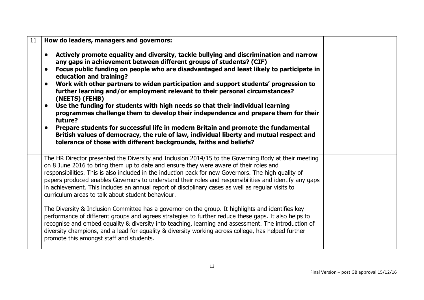| 11 | How do leaders, managers and governors:                                                                                                                                                                                                                                                                                                                                                                                                                                                                                                                                                                                                                                                                                                                                                                                                                                                                                                                                                                                                           |  |
|----|---------------------------------------------------------------------------------------------------------------------------------------------------------------------------------------------------------------------------------------------------------------------------------------------------------------------------------------------------------------------------------------------------------------------------------------------------------------------------------------------------------------------------------------------------------------------------------------------------------------------------------------------------------------------------------------------------------------------------------------------------------------------------------------------------------------------------------------------------------------------------------------------------------------------------------------------------------------------------------------------------------------------------------------------------|--|
|    | Actively promote equality and diversity, tackle bullying and discrimination and narrow<br>any gaps in achievement between different groups of students? (CIF)<br>Focus public funding on people who are disadvantaged and least likely to participate in<br>$\bullet$<br>education and training?<br>Work with other partners to widen participation and support students' progression to<br>further learning and/or employment relevant to their personal circumstances?<br>(NEETS) (FEHB)<br>Use the funding for students with high needs so that their individual learning<br>programmes challenge them to develop their independence and prepare them for their<br>future?<br>Prepare students for successful life in modern Britain and promote the fundamental<br>British values of democracy, the rule of law, individual liberty and mutual respect and<br>tolerance of those with different backgrounds, faiths and beliefs?                                                                                                              |  |
|    | The HR Director presented the Diversity and Inclusion 2014/15 to the Governing Body at their meeting<br>on 8 June 2016 to bring them up to date and ensure they were aware of their roles and<br>responsibilities. This is also included in the induction pack for new Governors. The high quality of<br>papers produced enables Governors to understand their roles and responsibilities and identify any gaps<br>in achievement. This includes an annual report of disciplinary cases as well as regular visits to<br>curriculum areas to talk about student behaviour.<br>The Diversity & Inclusion Committee has a governor on the group. It highlights and identifies key<br>performance of different groups and agrees strategies to further reduce these gaps. It also helps to<br>recognise and embed equality & diversity into teaching, learning and assessment. The introduction of<br>diversity champions, and a lead for equality & diversity working across college, has helped further<br>promote this amongst staff and students. |  |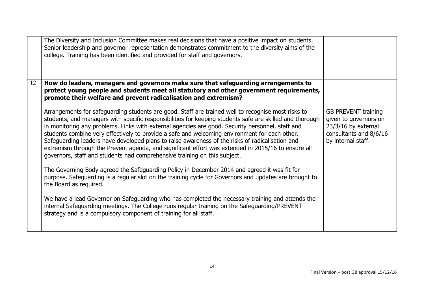|    | The Diversity and Inclusion Committee makes real decisions that have a positive impact on students.<br>Senior leadership and governor representation demonstrates commitment to the diversity aims of the<br>college. Training has been identified and provided for staff and governors.                                                                                                                                                                                                                                                                                                                                                                                                                  |                                                                                                                              |
|----|-----------------------------------------------------------------------------------------------------------------------------------------------------------------------------------------------------------------------------------------------------------------------------------------------------------------------------------------------------------------------------------------------------------------------------------------------------------------------------------------------------------------------------------------------------------------------------------------------------------------------------------------------------------------------------------------------------------|------------------------------------------------------------------------------------------------------------------------------|
| 12 | How do leaders, managers and governors make sure that safeguarding arrangements to<br>protect young people and students meet all statutory and other government requirements,<br>promote their welfare and prevent radicalisation and extremism?                                                                                                                                                                                                                                                                                                                                                                                                                                                          |                                                                                                                              |
|    | Arrangements for safeguarding students are good. Staff are trained well to recognise most risks to<br>students, and managers with specific responsibilities for keeping students safe are skilled and thorough<br>in monitoring any problems. Links with external agencies are good. Security personnel, staff and<br>students combine very effectively to provide a safe and welcoming environment for each other.<br>Safeguarding leaders have developed plans to raise awareness of the risks of radicalisation and<br>extremism through the Prevent agenda, and significant effort was extended in 2015/16 to ensure all<br>governors, staff and students had comprehensive training on this subject. | <b>GB PREVENT training</b><br>given to governors on<br>$23/3/16$ by external<br>consultants and 8/6/16<br>by internal staff. |
|    | The Governing Body agreed the Safeguarding Policy in December 2014 and agreed it was fit for<br>purpose. Safeguarding is a regular slot on the training cycle for Governors and updates are brought to<br>the Board as required.                                                                                                                                                                                                                                                                                                                                                                                                                                                                          |                                                                                                                              |
|    | We have a lead Governor on Safeguarding who has completed the necessary training and attends the<br>internal Safeguarding meetings. The College runs regular training on the Safeguarding/PREVENT<br>strategy and is a compulsory component of training for all staff.                                                                                                                                                                                                                                                                                                                                                                                                                                    |                                                                                                                              |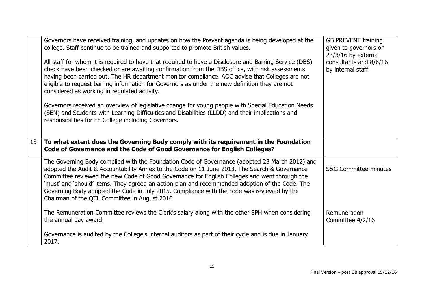|    | Governors have received training, and updates on how the Prevent agenda is being developed at the<br>college. Staff continue to be trained and supported to promote British values.<br>All staff for whom it is required to have that required to have a Disclosure and Barring Service (DBS)<br>check have been checked or are awaiting confirmation from the DBS office, with risk assessments<br>having been carried out. The HR department monitor compliance. AOC advise that Colleges are not<br>eligible to request barring information for Governors as under the new definition they are not<br>considered as working in regulated activity.<br>Governors received an overview of legislative change for young people with Special Education Needs<br>(SEN) and Students with Learning Difficulties and Disabilities (LLDD) and their implications and<br>responsibilities for FE College including Governors. | <b>GB PREVENT training</b><br>given to governors on<br>$23/3/16$ by external<br>consultants and 8/6/16<br>by internal staff. |
|----|-------------------------------------------------------------------------------------------------------------------------------------------------------------------------------------------------------------------------------------------------------------------------------------------------------------------------------------------------------------------------------------------------------------------------------------------------------------------------------------------------------------------------------------------------------------------------------------------------------------------------------------------------------------------------------------------------------------------------------------------------------------------------------------------------------------------------------------------------------------------------------------------------------------------------|------------------------------------------------------------------------------------------------------------------------------|
| 13 | To what extent does the Governing Body comply with its requirement in the Foundation<br>Code of Governance and the Code of Good Governance for English Colleges?                                                                                                                                                                                                                                                                                                                                                                                                                                                                                                                                                                                                                                                                                                                                                        |                                                                                                                              |
|    | The Governing Body complied with the Foundation Code of Governance (adopted 23 March 2012) and<br>adopted the Audit & Accountability Annex to the Code on 11 June 2013. The Search & Governance<br>Committee reviewed the new Code of Good Governance for English Colleges and went through the<br>'must' and 'should' items. They agreed an action plan and recommended adoption of the Code. The<br>Governing Body adopted the Code in July 2015. Compliance with the code was reviewed by the<br>Chairman of the QTL Committee in August 2016                                                                                                                                                                                                                                                                                                                                                                        | <b>S&amp;G Committee minutes</b>                                                                                             |
|    | The Remuneration Committee reviews the Clerk's salary along with the other SPH when considering<br>the annual pay award.                                                                                                                                                                                                                                                                                                                                                                                                                                                                                                                                                                                                                                                                                                                                                                                                | Remuneration<br>Committee 4/2/16                                                                                             |
|    | Governance is audited by the College's internal auditors as part of their cycle and is due in January<br>2017.                                                                                                                                                                                                                                                                                                                                                                                                                                                                                                                                                                                                                                                                                                                                                                                                          |                                                                                                                              |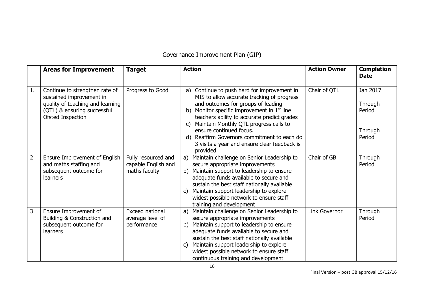## Governance Improvement Plan (GIP)

|    | <b>Areas for Improvement</b>                                                                                                                       | <b>Target</b>                                               | <b>Action</b>                                                                                                                                                                                                                                                                                                                                                                                                                         | <b>Action Owner</b> | <b>Completion</b><br><b>Date</b>                   |
|----|----------------------------------------------------------------------------------------------------------------------------------------------------|-------------------------------------------------------------|---------------------------------------------------------------------------------------------------------------------------------------------------------------------------------------------------------------------------------------------------------------------------------------------------------------------------------------------------------------------------------------------------------------------------------------|---------------------|----------------------------------------------------|
| 1. | Continue to strengthen rate of<br>sustained improvement in<br>quality of teaching and learning<br>(QTL) & ensuring successful<br>Ofsted Inspection | Progress to Good                                            | Continue to push hard for improvement in<br>a)<br>MIS to allow accurate tracking of progress<br>and outcomes for groups of leading<br>Monitor specific improvement in $1st$ line<br>b)<br>teachers ability to accurate predict grades<br>Maintain Monthly QTL progress calls to<br>$\mathsf{C}$<br>ensure continued focus.<br>d) Reaffirm Governors commitment to each do<br>3 visits a year and ensure clear feedback is<br>provided | Chair of QTL        | Jan 2017<br>Through<br>Period<br>Through<br>Period |
| 2  | Ensure Improvement of English<br>and maths staffing and<br>subsequent outcome for<br>learners                                                      | Fully resourced and<br>capable English and<br>maths faculty | Maintain challenge on Senior Leadership to<br>a)<br>secure appropriate improvements<br>Maintain support to leadership to ensure<br>b)<br>adequate funds available to secure and<br>sustain the best staff nationally available<br>Maintain support leadership to explore<br>C)<br>widest possible network to ensure staff<br>training and development                                                                                 | Chair of GB         | Through<br>Period                                  |
| 3  | Ensure Improvement of<br>Building & Construction and<br>subsequent outcome for<br><b>learners</b>                                                  | Exceed national<br>average level of<br>performance          | Maintain challenge on Senior Leadership to<br>a)<br>secure appropriate improvements<br>Maintain support to leadership to ensure<br>b)<br>adequate funds available to secure and<br>sustain the best staff nationally available<br>Maintain support leadership to explore<br>C)<br>widest possible network to ensure staff<br>continuous training and development                                                                      | Link Governor       | Through<br>Period                                  |